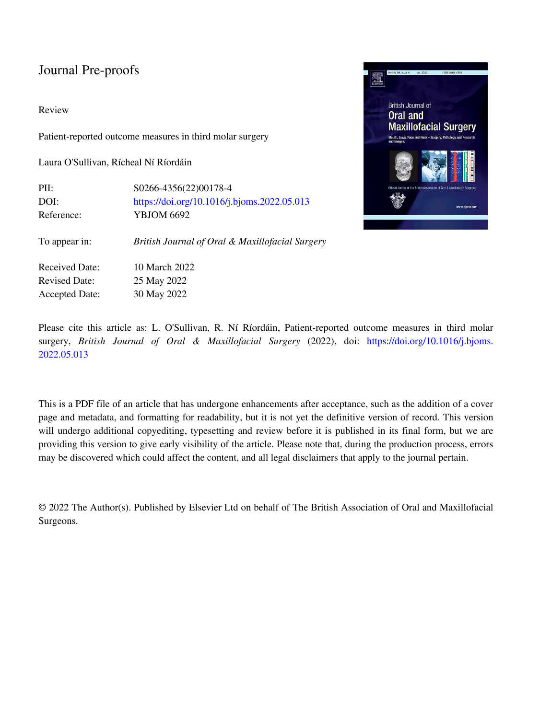#### Review

Patient-reported outcome measures in third molar surgery

Laura O'Sullivan, Rícheal Ní Ríordáin

| PII:                  | S0266-4356(22)00178-4                           |  |  |
|-----------------------|-------------------------------------------------|--|--|
| DOI:                  | https://doi.org/10.1016/j.bjoms.2022.05.013     |  |  |
| Reference:            | <b>YBJOM 6692</b>                               |  |  |
| To appear in:         | British Journal of Oral & Maxillofacial Surgery |  |  |
| <b>Received Date:</b> | 10 March 2022                                   |  |  |
| <b>Revised Date:</b>  | 25 May 2022                                     |  |  |
| <b>Accepted Date:</b> | 30 May 2022                                     |  |  |



Please cite this article as: L. O'Sullivan, R. Ní Ríordáin, Patient-reported outcome measures in third molar surgery, *British Journal of Oral & Maxillofacial Surgery* (2022), doi: [https://doi.org/10.1016/j.bjoms.](https://doi.org/10.1016/j.bjoms.2022.05.013) [2022.05.013](https://doi.org/10.1016/j.bjoms.2022.05.013)

This is a PDF file of an article that has undergone enhancements after acceptance, such as the addition of a cover page and metadata, and formatting for readability, but it is not yet the definitive version of record. This version will undergo additional copyediting, typesetting and review before it is published in its final form, but we are providing this version to give early visibility of the article. Please note that, during the production process, errors may be discovered which could affect the content, and all legal disclaimers that apply to the journal pertain.

© 2022 The Author(s). Published by Elsevier Ltd on behalf of The British Association of Oral and Maxillofacial Surgeons.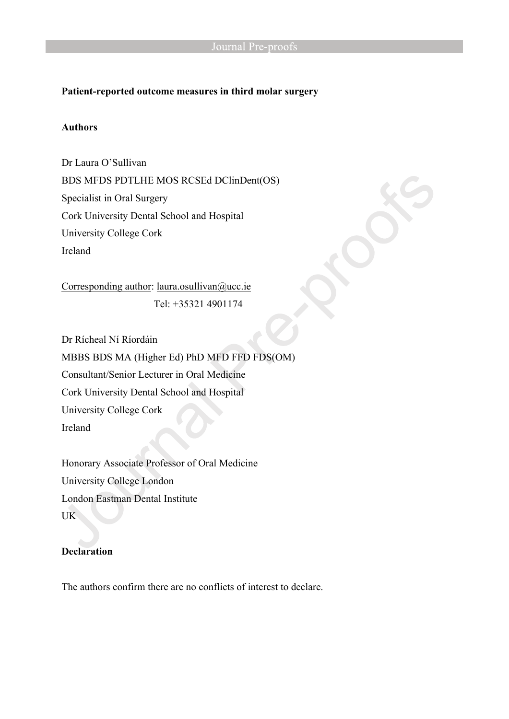## **Patient-reported outcome measures in third molar surgery**

## **Authors**

Dr Laura O'Sullivan BDS MFDS PDTLHE MOS RCSEd DClinDent(OS) Specialist in Oral Surgery Cork University Dental School and Hospital University College Cork Ireland

Corresponding author: [laura.osullivan@ucc.ie](mailto:laura.osullivan@ucc.ie) Tel: +35321 4901174

Dr Rícheal Ní Ríordáin MBBS BDS MA (Higher Ed) PhD MFD FFD FDS(OM) Consultant/Senior Lecturer in Oral Medicine Cork University Dental School and Hospital University College Cork Ireland

Honorary Associate Professor of Oral Medicine University College London London Eastman Dental Institute UK

# **Declaration**

The authors confirm there are no conflicts of interest to declare.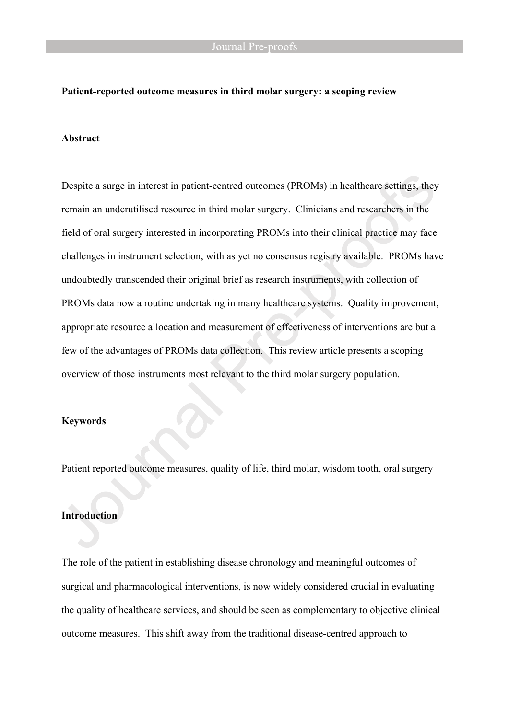#### **Patient-reported outcome measures in third molar surgery: a scoping review**

#### **Abstract**

Despite a surge in interest in patient-centred outcomes (PROMs) in healthcare settings, they remain an underutilised resource in third molar surgery. Clinicians and researchers in the field of oral surgery interested in incorporating PROMs into their clinical practice may face challenges in instrument selection, with as yet no consensus registry available. PROMs have undoubtedly transcended their original brief as research instruments, with collection of PROMs data now a routine undertaking in many healthcare systems. Quality improvement, appropriate resource allocation and measurement of effectiveness of interventions are but a few of the advantages of PROMs data collection. This review article presents a scoping overview of those instruments most relevant to the third molar surgery population.

#### **Keywords**

Patient reported outcome measures, quality of life, third molar, wisdom tooth, oral surgery

## **Introduction**

The role of the patient in establishing disease chronology and meaningful outcomes of surgical and pharmacological interventions, is now widely considered crucial in evaluating the quality of healthcare services, and should be seen as complementary to objective clinical outcome measures. This shift away from the traditional disease-centred approach to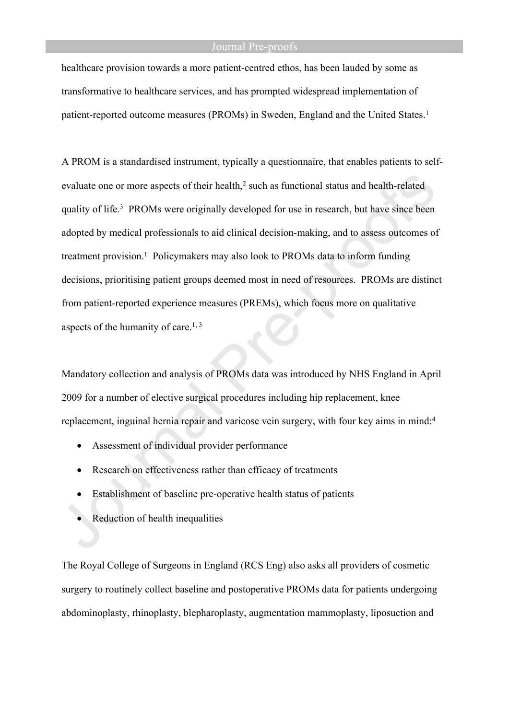healthcare provision towards a more patient-centred ethos, has been lauded by some as transformative to healthcare services, and has prompted widespread implementation of patient-reported outcome measures (PROMs) in Sweden, England and the United States.<sup>1</sup>

A PROM is a standardised instrument, typically a questionnaire, that enables patients to selfevaluate one or more aspects of their health,<sup>2</sup> such as functional status and health-related quality of life.<sup>3</sup> PROMs were originally developed for use in research, but have since been adopted by medical professionals to aid clinical decision-making, and to assess outcomes of treatment provision.<sup>1</sup> Policymakers may also look to PROMs data to inform funding decisions, prioritising patient groups deemed most in need of resources. PROMs are distinct from patient-reported experience measures (PREMs), which focus more on qualitative aspects of the humanity of care.<sup>1, 3</sup>

Mandatory collection and analysis of PROMs data was introduced by NHS England in April 2009 for a number of elective surgical procedures including hip replacement, knee replacement, inguinal hernia repair and varicose vein surgery, with four key aims in mind:<sup>4</sup>

- Assessment of individual provider performance
- Research on effectiveness rather than efficacy of treatments
- Establishment of baseline pre-operative health status of patients
- Reduction of health inequalities

The Royal College of Surgeons in England (RCS Eng) also asks all providers of cosmetic surgery to routinely collect baseline and postoperative PROMs data for patients undergoing abdominoplasty, rhinoplasty, blepharoplasty, augmentation mammoplasty, liposuction and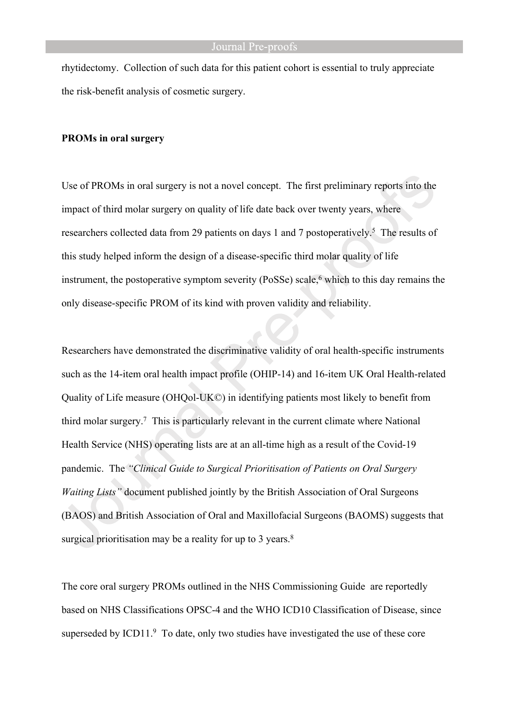rhytidectomy. Collection of such data for this patient cohort is essential to truly appreciate the risk-benefit analysis of cosmetic surgery.

#### **PROMs in oral surgery**

Use of PROMs in oral surgery is not a novel concept. The first preliminary reports into the impact of third molar surgery on quality of life date back over twenty years, where researchers collected data from 29 patients on days 1 and 7 postoperatively.<sup>5</sup> The results of this study helped inform the design of a disease-specific third molar quality of life instrument, the postoperative symptom severity (PoSSe) scale,<sup>6</sup> which to this day remains the only disease-specific PROM of its kind with proven validity and reliability.

Researchers have demonstrated the discriminative validity of oral health-specific instruments such as the 14-item oral health impact profile (OHIP-14) and 16-item UK Oral Health-related Quality of Life measure (OHQol-UK©) in identifying patients most likely to benefit from third molar surgery.<sup>7</sup> This is particularly relevant in the current climate where National Health Service (NHS) operating lists are at an all-time high as a result of the Covid-19 pandemic. The *"Clinical Guide to Surgical Prioritisation of Patients on Oral Surgery Waiting Lists"* document published jointly by the British Association of Oral Surgeons (BAOS) and British Association of Oral and Maxillofacial Surgeons (BAOMS) suggests that surgical prioritisation may be a reality for up to 3 years.<sup>8</sup>

The core oral surgery PROMs outlined in the NHS Commissioning Guide are reportedly based on NHS Classifications OPSC-4 and the WHO ICD10 Classification of Disease, since superseded by ICD11.<sup>9</sup> To date, only two studies have investigated the use of these core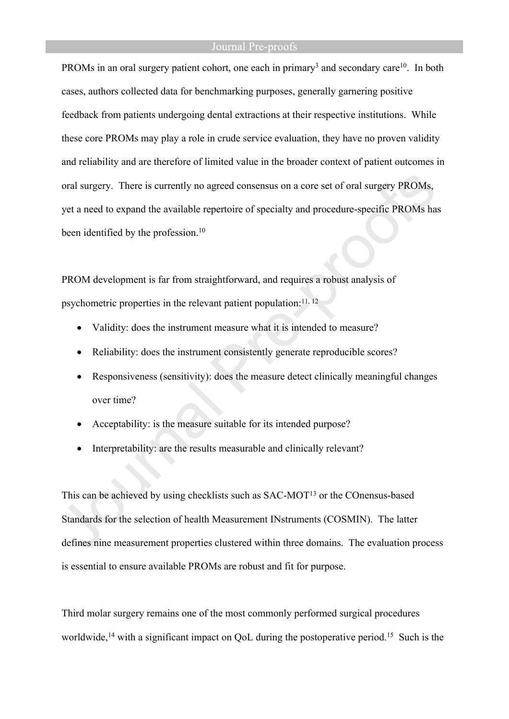PROMs in an oral surgery patient cohort, one each in primary<sup>3</sup> and secondary care<sup>10</sup>. In both cases, authors collected data for benchmarking purposes, generally garnering positive feedback from patients undergoing dental extractions at their respective institutions. While these core PROMs may play a role in crude service evaluation, they have no proven validity and reliability and are therefore of limited value in the broader context of patient outcomes in oral surgery. There is currently no agreed consensus on a core set of oral surgery PROMs, yet a need to expand the available repertoire of specialty and procedure-specific PROMs has been identified by the profession.<sup>10</sup>

PROM development is far from straightforward, and requires a robust analysis of psychometric properties in the relevant patient population: $^{11, 12}$ 

- Validity: does the instrument measure what it is intended to measure?
- Reliability: does the instrument consistently generate reproducible scores?
- Responsiveness (sensitivity): does the measure detect clinically meaningful changes over time?
- Acceptability: is the measure suitable for its intended purpose?
- Interpretability: are the results measurable and clinically relevant?

This can be achieved by using checklists such as SAC-MOT<sup>13</sup> or the COnensus-based Standards for the selection of health Measurement INstruments (COSMIN). The latter defines nine measurement properties clustered within three domains. The evaluation process is essential to ensure available PROMs are robust and fit for purpose.

Third molar surgery remains one of the most commonly performed surgical procedures worldwide,<sup>14</sup> with a significant impact on OoL during the postoperative period.<sup>15</sup> Such is the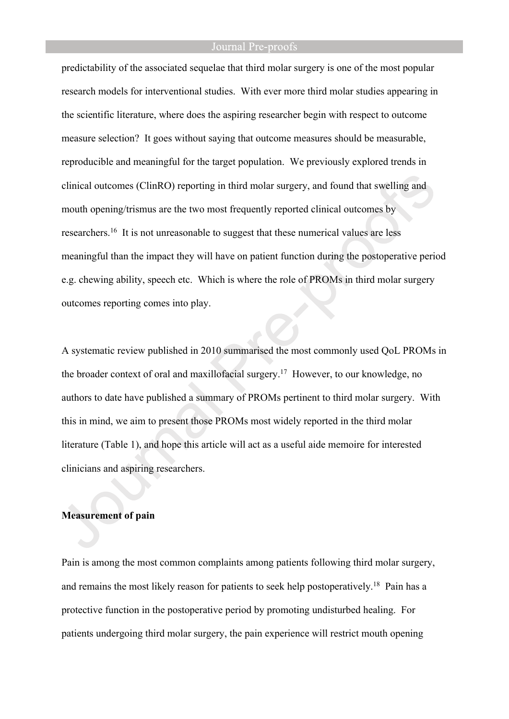predictability of the associated sequelae that third molar surgery is one of the most popular research models for interventional studies. With ever more third molar studies appearing in the scientific literature, where does the aspiring researcher begin with respect to outcome measure selection? It goes without saying that outcome measures should be measurable, reproducible and meaningful for the target population. We previously explored trends in clinical outcomes (ClinRO) reporting in third molar surgery, and found that swelling and mouth opening/trismus are the two most frequently reported clinical outcomes by researchers.<sup>16</sup> It is not unreasonable to suggest that these numerical values are less meaningful than the impact they will have on patient function during the postoperative period e.g. chewing ability, speech etc. Which is where the role of PROMs in third molar surgery outcomes reporting comes into play.

A systematic review published in 2010 summarised the most commonly used QoL PROMs in the broader context of oral and maxillofacial surgery.<sup>17</sup> However, to our knowledge, no authors to date have published a summary of PROMs pertinent to third molar surgery. With this in mind, we aim to present those PROMs most widely reported in the third molar literature (Table 1), and hope this article will act as a useful aide memoire for interested clinicians and aspiring researchers.

#### **Measurement of pain**

Pain is among the most common complaints among patients following third molar surgery, and remains the most likely reason for patients to seek help postoperatively.<sup>18</sup> Pain has a protective function in the postoperative period by promoting undisturbed healing. For patients undergoing third molar surgery, the pain experience will restrict mouth opening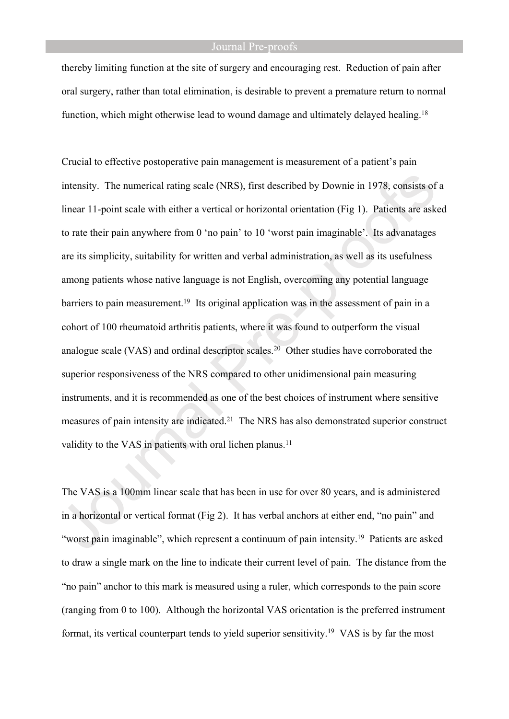thereby limiting function at the site of surgery and encouraging rest. Reduction of pain after oral surgery, rather than total elimination, is desirable to prevent a premature return to normal function, which might otherwise lead to wound damage and ultimately delayed healing.<sup>18</sup>

Crucial to effective postoperative pain management is measurement of a patient's pain intensity. The numerical rating scale (NRS), first described by Downie in 1978, consists of a linear 11-point scale with either a vertical or horizontal orientation (Fig 1). Patients are asked to rate their pain anywhere from 0 'no pain' to 10 'worst pain imaginable'. Its advanatages are its simplicity, suitability for written and verbal administration, as well as its usefulness among patients whose native language is not English, overcoming any potential language barriers to pain measurement.<sup>19</sup> Its original application was in the assessment of pain in a cohort of 100 rheumatoid arthritis patients, where it was found to outperform the visual analogue scale (VAS) and ordinal descriptor scales.<sup>20</sup> Other studies have corroborated the superior responsiveness of the NRS compared to other unidimensional pain measuring instruments, and it is recommended as one of the best choices of instrument where sensitive measures of pain intensity are indicated.<sup>21</sup> The NRS has also demonstrated superior construct validity to the VAS in patients with oral lichen planus.<sup>11</sup>

The VAS is a 100mm linear scale that has been in use for over 80 years, and is administered in a horizontal or vertical format (Fig 2). It has verbal anchors at either end, "no pain" and "worst pain imaginable", which represent a continuum of pain intensity.<sup>19</sup> Patients are asked to draw a single mark on the line to indicate their current level of pain. The distance from the "no pain" anchor to this mark is measured using a ruler, which corresponds to the pain score (ranging from 0 to 100). Although the horizontal VAS orientation is the preferred instrument format, its vertical counterpart tends to yield superior sensitivity.19 VAS is by far the most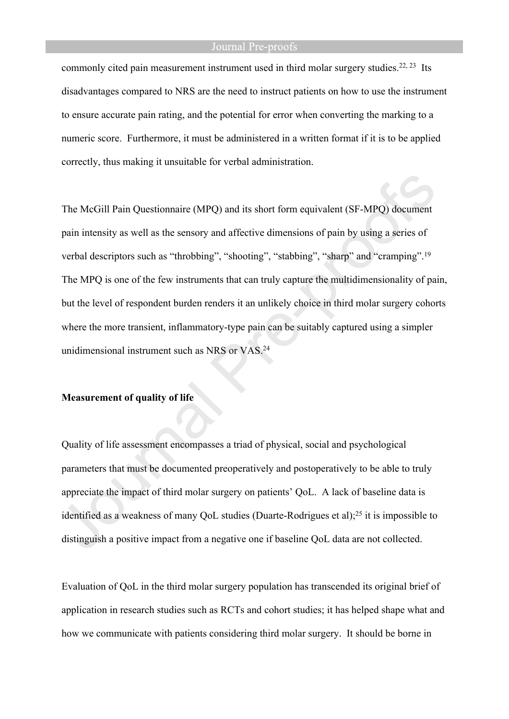commonly cited pain measurement instrument used in third molar surgery studies.<sup>22, 23</sup> Its disadvantages compared to NRS are the need to instruct patients on how to use the instrument to ensure accurate pain rating, and the potential for error when converting the marking to a numeric score. Furthermore, it must be administered in a written format if it is to be applied correctly, thus making it unsuitable for verbal administration.

The McGill Pain Questionnaire (MPQ) and its short form equivalent (SF-MPQ) document pain intensity as well as the sensory and affective dimensions of pain by using a series of verbal descriptors such as "throbbing", "shooting", "stabbing", "sharp" and "cramping".<sup>19</sup> The MPQ is one of the few instruments that can truly capture the multidimensionality of pain, but the level of respondent burden renders it an unlikely choice in third molar surgery cohorts where the more transient, inflammatory-type pain can be suitably captured using a simpler unidimensional instrument such as NRS or VAS.<sup>24</sup>

#### **Measurement of quality of life**

Quality of life assessment encompasses a triad of physical, social and psychological parameters that must be documented preoperatively and postoperatively to be able to truly appreciate the impact of third molar surgery on patients' QoL. A lack of baseline data is identified as a weakness of many QoL studies (Duarte-Rodrigues et al);<sup>25</sup> it is impossible to distinguish a positive impact from a negative one if baseline QoL data are not collected.

Evaluation of QoL in the third molar surgery population has transcended its original brief of application in research studies such as RCTs and cohort studies; it has helped shape what and how we communicate with patients considering third molar surgery. It should be borne in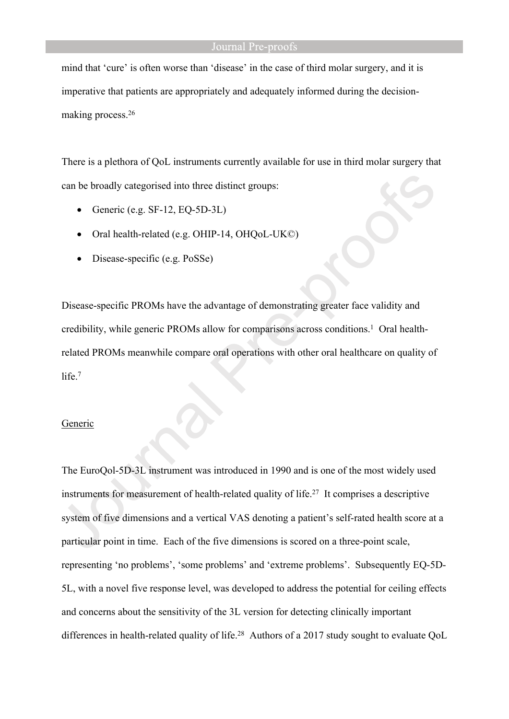mind that 'cure' is often worse than 'disease' in the case of third molar surgery, and it is imperative that patients are appropriately and adequately informed during the decisionmaking process.<sup>26</sup>

There is a plethora of QoL instruments currently available for use in third molar surgery that can be broadly categorised into three distinct groups:

- Generic (e.g. SF-12, EQ-5D-3L)
- Oral health-related (e.g. OHIP-14, OHQoL-UK©)
- Disease-specific (e.g. PoSSe)

Disease-specific PROMs have the advantage of demonstrating greater face validity and credibility, while generic PROMs allow for comparisons across conditions.<sup>1</sup> Oral healthrelated PROMs meanwhile compare oral operations with other oral healthcare on quality of life.<sup>7</sup>

#### Generic

The EuroQol-5D-3L instrument was introduced in 1990 and is one of the most widely used instruments for measurement of health-related quality of life.<sup>27</sup> It comprises a descriptive system of five dimensions and a vertical VAS denoting a patient's self-rated health score at a particular point in time. Each of the five dimensions is scored on a three-point scale, representing 'no problems', 'some problems' and 'extreme problems'. Subsequently EQ-5D-5L, with a novel five response level, was developed to address the potential for ceiling effects and concerns about the sensitivity of the 3L version for detecting clinically important differences in health-related quality of life.<sup>28</sup> Authors of a 2017 study sought to evaluate QoL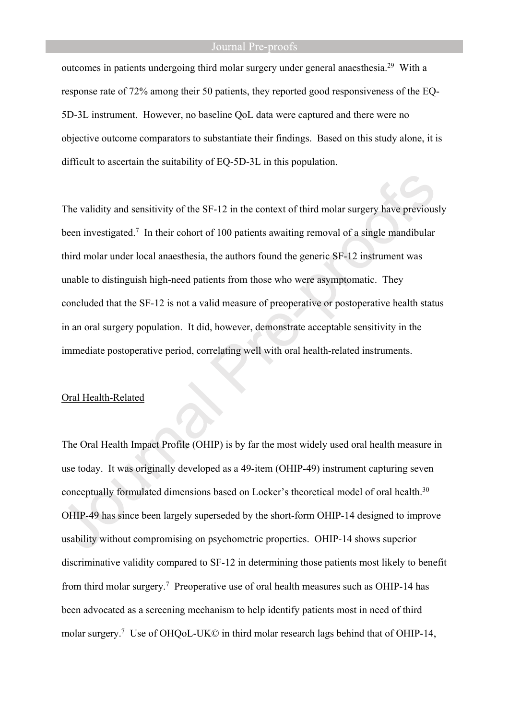outcomes in patients undergoing third molar surgery under general anaesthesia.<sup>29</sup> With a response rate of 72% among their 50 patients, they reported good responsiveness of the EQ-5D-3L instrument. However, no baseline QoL data were captured and there were no objective outcome comparators to substantiate their findings. Based on this study alone, it is difficult to ascertain the suitability of EQ-5D-3L in this population.

The validity and sensitivity of the SF-12 in the context of third molar surgery have previously been investigated.<sup>7</sup> In their cohort of 100 patients awaiting removal of a single mandibular third molar under local anaesthesia, the authors found the generic SF-12 instrument was unable to distinguish high-need patients from those who were asymptomatic. They concluded that the SF-12 is not a valid measure of preoperative or postoperative health status in an oral surgery population. It did, however, demonstrate acceptable sensitivity in the immediate postoperative period, correlating well with oral health-related instruments.

#### Oral Health-Related

The Oral Health Impact Profile (OHIP) is by far the most widely used oral health measure in use today. It was originally developed as a 49-item (OHIP-49) instrument capturing seven conceptually formulated dimensions based on Locker's theoretical model of oral health.<sup>30</sup> OHIP-49 has since been largely superseded by the short-form OHIP-14 designed to improve usability without compromising on psychometric properties. OHIP-14 shows superior discriminative validity compared to SF-12 in determining those patients most likely to benefit from third molar surgery.<sup>7</sup> Preoperative use of oral health measures such as OHIP-14 has been advocated as a screening mechanism to help identify patients most in need of third molar surgery.<sup>7</sup> Use of OHQoL-UK© in third molar research lags behind that of OHIP-14,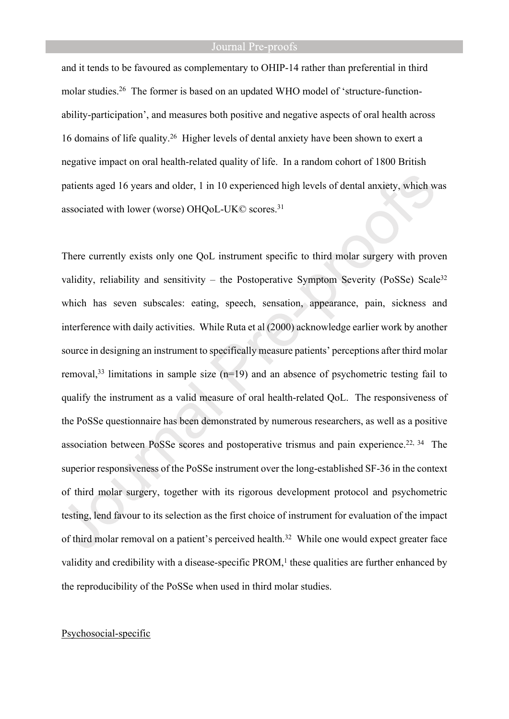and it tends to be favoured as complementary to OHIP-14 rather than preferential in third molar studies.26 The former is based on an updated WHO model of 'structure-functionability-participation', and measures both positive and negative aspects of oral health across 16 domains of life quality.<sup>26</sup> Higher levels of dental anxiety have been shown to exert a negative impact on oral health-related quality of life. In a random cohort of 1800 British patients aged 16 years and older, 1 in 10 experienced high levels of dental anxiety, which was associated with lower (worse) OHQoL-UK© scores.<sup>31</sup>

There currently exists only one QoL instrument specific to third molar surgery with proven validity, reliability and sensitivity – the Postoperative Symptom Severity (PoSSe) Scale<sup>32</sup> which has seven subscales: eating, speech, sensation, appearance, pain, sickness and interference with daily activities. While Ruta et al (2000) acknowledge earlier work by another source in designing an instrument to specifically measure patients' perceptions after third molar removal,<sup>33</sup> limitations in sample size  $(n=19)$  and an absence of psychometric testing fail to qualify the instrument as a valid measure of oral health-related QoL. The responsiveness of the PoSSe questionnaire has been demonstrated by numerous researchers, as well as a positive association between PoSSe scores and postoperative trismus and pain experience.<sup>22, 34</sup> The superior responsiveness of the PoSSe instrument over the long-established SF-36 in the context of third molar surgery, together with its rigorous development protocol and psychometric testing, lend favour to its selection as the first choice of instrument for evaluation of the impact of third molar removal on a patient's perceived health.<sup>32</sup> While one would expect greater face validity and credibility with a disease-specific  $PROM$ ,<sup>1</sup> these qualities are further enhanced by the reproducibility of the PoSSe when used in third molar studies.

## Psychosocial-specific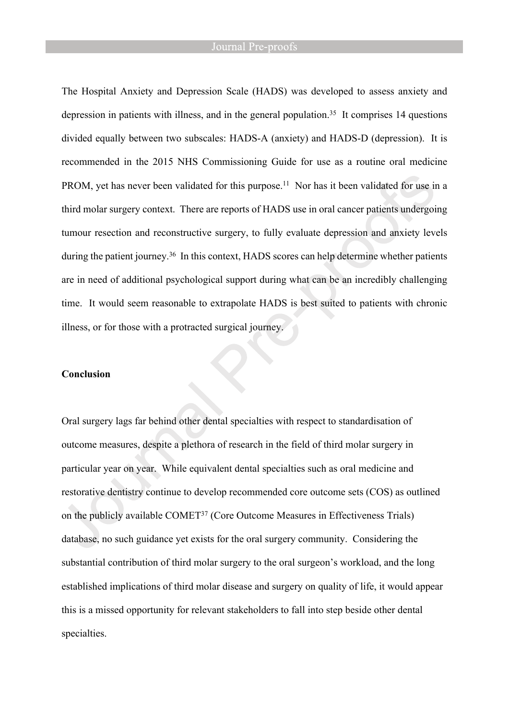The Hospital Anxiety and Depression Scale (HADS) was developed to assess anxiety and depression in patients with illness, and in the general population.<sup>35</sup> It comprises 14 questions divided equally between two subscales: HADS-A (anxiety) and HADS-D (depression). It is recommended in the 2015 NHS Commissioning Guide for use as a routine oral medicine PROM, yet has never been validated for this purpose.<sup>11</sup> Nor has it been validated for use in a third molar surgery context. There are reports of HADS use in oral cancer patients undergoing tumour resection and reconstructive surgery, to fully evaluate depression and anxiety levels during the patient journey.<sup>36</sup> In this context, HADS scores can help determine whether patients are in need of additional psychological support during what can be an incredibly challenging time. It would seem reasonable to extrapolate HADS is best suited to patients with chronic illness, or for those with a protracted surgical journey.

#### **Conclusion**

Oral surgery lags far behind other dental specialties with respect to standardisation of outcome measures, despite a plethora of research in the field of third molar surgery in particular year on year. While equivalent dental specialties such as oral medicine and restorative dentistry continue to develop recommended core outcome sets (COS) as outlined on the publicly available COMET<sup>37</sup> (Core Outcome Measures in Effectiveness Trials) database, no such guidance yet exists for the oral surgery community. Considering the substantial contribution of third molar surgery to the oral surgeon's workload, and the long established implications of third molar disease and surgery on quality of life, it would appear this is a missed opportunity for relevant stakeholders to fall into step beside other dental specialties.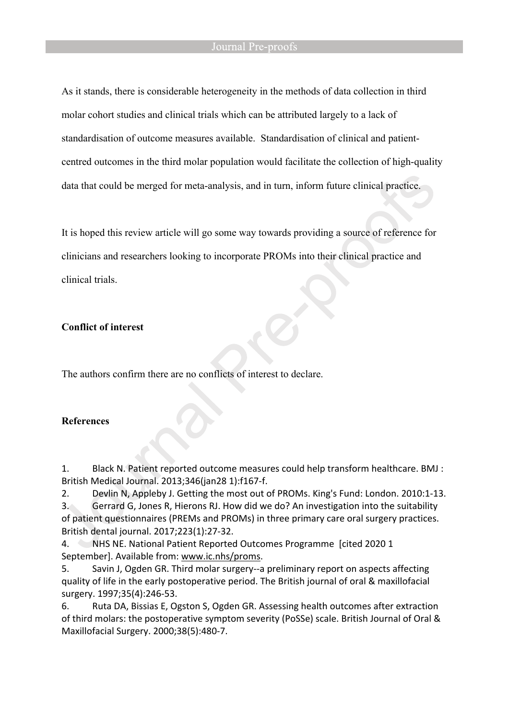As it stands, there is considerable heterogeneity in the methods of data collection in third molar cohort studies and clinical trials which can be attributed largely to a lack of standardisation of outcome measures available. Standardisation of clinical and patientcentred outcomes in the third molar population would facilitate the collection of high-quality data that could be merged for meta-analysis, and in turn, inform future clinical practice.

It is hoped this review article will go some way towards providing a source of reference for clinicians and researchers looking to incorporate PROMs into their clinical practice and clinical trials.

## **Conflict of interest**

The authors confirm there are no conflicts of interest to declare.

# **References**

1. Black N. Patient reported outcome measures could help transform healthcare. BMJ : British Medical Journal. 2013;346(jan28 1):f167-f.

2. Devlin N, Appleby J. Getting the most out of PROMs. King's Fund: London. 2010:1-13.

3. Gerrard G, Jones R, Hierons RJ. How did we do? An investigation into the suitability of patient questionnaires (PREMs and PROMs) in three primary care oral surgery practices. British dental journal. 2017;223(1):27-32.

4. NHS NE. National Patient Reported Outcomes Programme [cited 2020 1 September]. Available from: [www.ic.nhs/proms.](file:///C:/Volumes/LOS%20USB/BJOMS%202022/www.ic.nhs/proms)

5. Savin J, Ogden GR. Third molar surgery--a preliminary report on aspects affecting quality of life in the early postoperative period. The British journal of oral & maxillofacial surgery. 1997;35(4):246-53.

6. Ruta DA, Bissias E, Ogston S, Ogden GR. Assessing health outcomes after extraction of third molars: the postoperative symptom severity (PoSSe) scale. British Journal of Oral & Maxillofacial Surgery. 2000;38(5):480-7.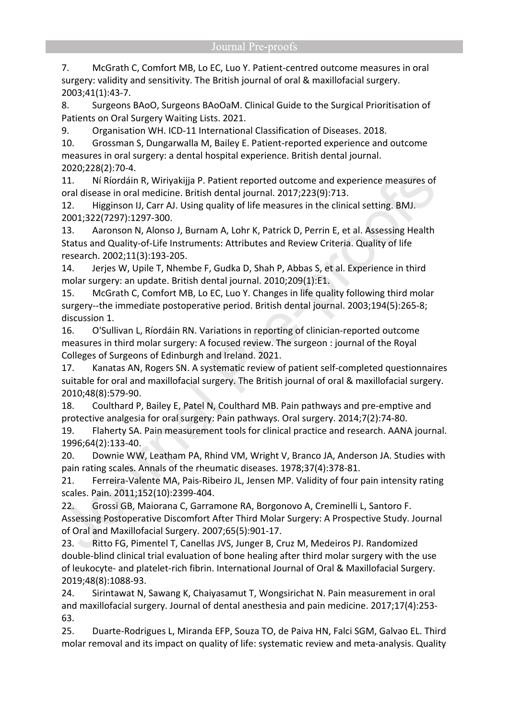7. McGrath C, Comfort MB, Lo EC, Luo Y. Patient-centred outcome measures in oral surgery: validity and sensitivity. The British journal of oral & maxillofacial surgery. 2003;41(1):43-7.

8. Surgeons BAoO, Surgeons BAoOaM. Clinical Guide to the Surgical Prioritisation of Patients on Oral Surgery Waiting Lists. 2021.

9. Organisation WH. ICD-11 International Classification of Diseases. 2018.

10. Grossman S, Dungarwalla M, Bailey E. Patient-reported experience and outcome measures in oral surgery: a dental hospital experience. British dental journal. 2020;228(2):70-4.

11. Ní Ríordáin R, Wiriyakijja P. Patient reported outcome and experience measures of oral disease in oral medicine. British dental journal. 2017;223(9):713.

12. Higginson IJ, Carr AJ. Using quality of life measures in the clinical setting. BMJ. 2001;322(7297):1297-300.

13. Aaronson N, Alonso J, Burnam A, Lohr K, Patrick D, Perrin E, et al. Assessing Health Status and Quality-of-Life Instruments: Attributes and Review Criteria. Quality of life research. 2002;11(3):193-205.

14. Jerjes W, Upile T, Nhembe F, Gudka D, Shah P, Abbas S, et al. Experience in third molar surgery: an update. British dental journal. 2010;209(1):E1.

15. McGrath C, Comfort MB, Lo EC, Luo Y. Changes in life quality following third molar surgery--the immediate postoperative period. British dental journal. 2003;194(5):265-8; discussion 1.

16. O'Sullivan L, Ríordáin RN. Variations in reporting of clinician-reported outcome measures in third molar surgery: A focused review. The surgeon : journal of the Royal Colleges of Surgeons of Edinburgh and Ireland. 2021.

17. Kanatas AN, Rogers SN. A systematic review of patient self-completed questionnaires suitable for oral and maxillofacial surgery. The British journal of oral & maxillofacial surgery. 2010;48(8):579-90.

18. Coulthard P, Bailey E, Patel N, Coulthard MB. Pain pathways and pre-emptive and protective analgesia for oral surgery: Pain pathways. Oral surgery. 2014;7(2):74-80.

19. Flaherty SA. Pain measurement tools for clinical practice and research. AANA journal. 1996;64(2):133-40.

20. Downie WW, Leatham PA, Rhind VM, Wright V, Branco JA, Anderson JA. Studies with pain rating scales. Annals of the rheumatic diseases. 1978;37(4):378-81.

21. Ferreira-Valente MA, Pais-Ribeiro JL, Jensen MP. Validity of four pain intensity rating scales. Pain. 2011;152(10):2399-404.

22. Grossi GB, Maiorana C, Garramone RA, Borgonovo A, Creminelli L, Santoro F. Assessing Postoperative Discomfort After Third Molar Surgery: A Prospective Study. Journal of Oral and Maxillofacial Surgery. 2007;65(5):901-17.

23. Ritto FG, Pimentel T, Canellas JVS, Junger B, Cruz M, Medeiros PJ. Randomized double-blind clinical trial evaluation of bone healing after third molar surgery with the use of leukocyte- and platelet-rich fibrin. International Journal of Oral & Maxillofacial Surgery. 2019;48(8):1088-93.

24. Sirintawat N, Sawang K, Chaiyasamut T, Wongsirichat N. Pain measurement in oral and maxillofacial surgery. Journal of dental anesthesia and pain medicine. 2017;17(4):253- 63.

25. Duarte-Rodrigues L, Miranda EFP, Souza TO, de Paiva HN, Falci SGM, Galvao EL. Third molar removal and its impact on quality of life: systematic review and meta-analysis. Quality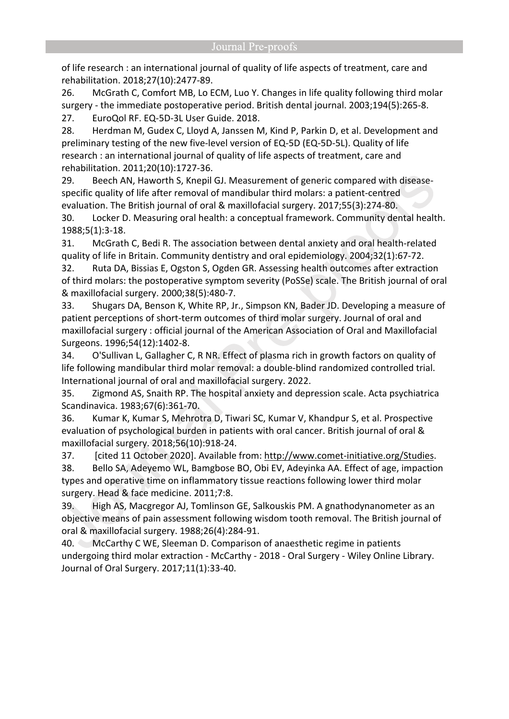of life research : an international journal of quality of life aspects of treatment, care and rehabilitation. 2018;27(10):2477-89.

26. McGrath C, Comfort MB, Lo ECM, Luo Y. Changes in life quality following third molar surgery - the immediate postoperative period. British dental journal. 2003;194(5):265-8. 27. EuroQol RF. EQ-5D-3L User Guide. 2018.

28. Herdman M, Gudex C, Lloyd A, Janssen M, Kind P, Parkin D, et al. Development and preliminary testing of the new five-level version of EQ-5D (EQ-5D-5L). Quality of life research : an international journal of quality of life aspects of treatment, care and rehabilitation. 2011;20(10):1727-36.

29. Beech AN, Haworth S, Knepil GJ. Measurement of generic compared with diseasespecific quality of life after removal of mandibular third molars: a patient-centred evaluation. The British journal of oral & maxillofacial surgery. 2017;55(3):274-80.

30. Locker D. Measuring oral health: a conceptual framework. Community dental health. 1988;5(1):3-18.

31. McGrath C, Bedi R. The association between dental anxiety and oral health-related quality of life in Britain. Community dentistry and oral epidemiology. 2004;32(1):67-72.

32. Ruta DA, Bissias E, Ogston S, Ogden GR. Assessing health outcomes after extraction of third molars: the postoperative symptom severity (PoSSe) scale. The British journal of oral & maxillofacial surgery. 2000;38(5):480-7.

33. Shugars DA, Benson K, White RP, Jr., Simpson KN, Bader JD. Developing a measure of patient perceptions of short-term outcomes of third molar surgery. Journal of oral and maxillofacial surgery : official journal of the American Association of Oral and Maxillofacial Surgeons. 1996;54(12):1402-8.

34. O'Sullivan L, Gallagher C, R NR. Effect of plasma rich in growth factors on quality of life following mandibular third molar removal: a double-blind randomized controlled trial. International journal of oral and maxillofacial surgery. 2022.

35. Zigmond AS, Snaith RP. The hospital anxiety and depression scale. Acta psychiatrica Scandinavica. 1983;67(6):361-70.

36. Kumar K, Kumar S, Mehrotra D, Tiwari SC, Kumar V, Khandpur S, et al. Prospective evaluation of psychological burden in patients with oral cancer. British journal of oral & maxillofacial surgery. 2018;56(10):918-24.

37. [cited 11 October 2020]. Available from: [http://www.comet-initiative.org/Studies.](http://www.comet-initiative.org/Studies) 38. Bello SA, Adeyemo WL, Bamgbose BO, Obi EV, Adeyinka AA. Effect of age, impaction types and operative time on inflammatory tissue reactions following lower third molar surgery. Head & face medicine. 2011;7:8.

39. High AS, Macgregor AJ, Tomlinson GE, Salkouskis PM. A gnathodynanometer as an objective means of pain assessment following wisdom tooth removal. The British journal of oral & maxillofacial surgery. 1988;26(4):284-91.

40. McCarthy C WE, Sleeman D. Comparison of anaesthetic regime in patients undergoing third molar extraction - McCarthy - 2018 - Oral Surgery - Wiley Online Library. Journal of Oral Surgery. 2017;11(1):33-40.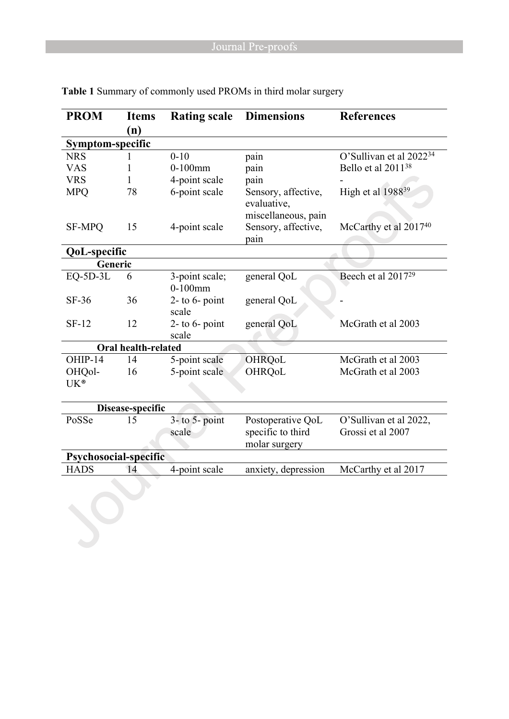| <b>PROM</b>                | <b>Items</b> | <b>Rating scale</b>          | <b>Dimensions</b>                                         | <b>References</b>                           |  |  |
|----------------------------|--------------|------------------------------|-----------------------------------------------------------|---------------------------------------------|--|--|
|                            | (n)          |                              |                                                           |                                             |  |  |
| Symptom-specific           |              |                              |                                                           |                                             |  |  |
| <b>NRS</b>                 |              | $0 - 10$                     | pain                                                      | O'Sullivan et al 2022 <sup>34</sup>         |  |  |
| <b>VAS</b>                 | 1            | $0-100$ mm                   | pain                                                      | Bello et al 2011 <sup>38</sup>              |  |  |
| <b>VRS</b>                 | 1            | 4-point scale                | pain                                                      |                                             |  |  |
| <b>MPQ</b>                 | 78           | 6-point scale                | Sensory, affective,<br>evaluative,<br>miscellaneous, pain | High et al 1988 <sup>39</sup>               |  |  |
| <b>SF-MPQ</b>              | 15           | 4-point scale                | Sensory, affective,<br>pain                               | McCarthy et al 2017 <sup>40</sup>           |  |  |
| <b>QoL-specific</b>        |              |                              |                                                           |                                             |  |  |
| Generic                    |              |                              |                                                           |                                             |  |  |
| $EQ-5D-3L$                 | 6            | 3-point scale;<br>$0-100$ mm | general QoL                                               | Beech et al 2017 <sup>29</sup>              |  |  |
| $SF-36$                    | 36           | $2-$ to 6- point<br>scale    | general QoL                                               |                                             |  |  |
| $SF-12$                    | 12           | 2- to $6$ - point<br>scale   | general QoL                                               | McGrath et al 2003                          |  |  |
| <b>Oral health-related</b> |              |                              |                                                           |                                             |  |  |
| OHIP-14                    | 14           | 5-point scale                | <b>OHRQoL</b>                                             | McGrath et al 2003                          |  |  |
| OHQol-                     | 16           | 5-point scale                | OHRQoL                                                    | McGrath et al 2003                          |  |  |
| UK®                        |              |                              |                                                           |                                             |  |  |
| Disease-specific           |              |                              |                                                           |                                             |  |  |
| PoSSe                      | 15           | $3-$ to $5-$ point<br>scale  | Postoperative QoL<br>specific to third<br>molar surgery   | O'Sullivan et al 2022,<br>Grossi et al 2007 |  |  |
| Psychosocial-specific      |              |                              |                                                           |                                             |  |  |
| <b>HADS</b>                | 14           | 4-point scale                | anxiety, depression                                       | McCarthy et al 2017                         |  |  |
|                            |              |                              |                                                           |                                             |  |  |

**Table 1** Summary of commonly used PROMs in third molar surgery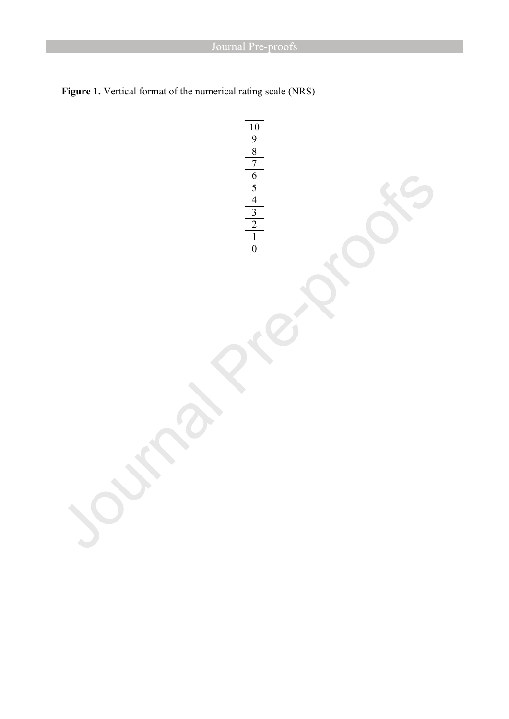